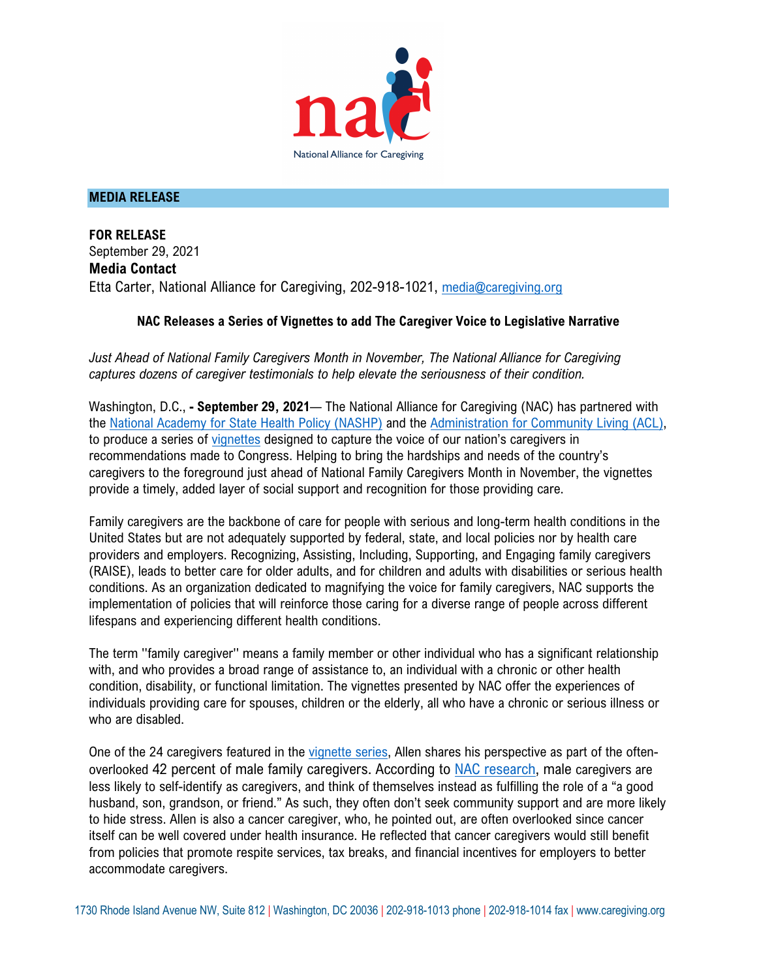

## **MEDIA RELEASE**

**FOR RELEASE** September 29, 2021 **Media Contact** Etta Carter, National Alliance for Caregiving, 202-918-1021, media@caregiving.org

## **NAC Releases a Series of Vignettes to add The Caregiver Voice to Legislative Narrative**

*Just Ahead of National Family Caregivers Month in November, The National Alliance for Caregiving captures dozens of caregiver testimonials to help elevate the seriousness of their condition.* 

Washington, D.C., **- September 29, 2021**— The National Alliance for Caregiving (NAC) has partnered with the National Academy for State Health Policy (NASHP) and the Administration for Community Living (ACL), to produce a series of vignettes designed to capture the voice of our nation's caregivers in recommendations made to Congress. Helping to bring the hardships and needs of the country's caregivers to the foreground just ahead of National Family Caregivers Month in November, the vignettes provide a timely, added layer of social support and recognition for those providing care.

Family caregivers are the backbone of care for people with serious and long-term health conditions in the United States but are not adequately supported by federal, state, and local policies nor by health care providers and employers. Recognizing, Assisting, Including, Supporting, and Engaging family caregivers (RAISE), leads to better care for older adults, and for children and adults with disabilities or serious health conditions. As an organization dedicated to magnifying the voice for family caregivers, NAC supports the implementation of policies that will reinforce those caring for a diverse range of people across different lifespans and experiencing different health conditions.

The term ''family caregiver'' means a family member or other individual who has a significant relationship with, and who provides a broad range of assistance to, an individual with a chronic or other health condition, disability, or functional limitation. The vignettes presented by NAC offer the experiences of individuals providing care for spouses, children or the elderly, all who have a chronic or serious illness or who are disabled.

One of the 24 caregivers featured in the vignette series, Allen shares his perspective as part of the oftenoverlooked 42 percent of male family caregivers. According to NAC research, male caregivers are less likely to self-identify as caregivers, and think of themselves instead as fulfilling the role of a "a good husband, son, grandson, or friend." As such, they often don't seek community support and are more likely to hide stress. Allen is also a cancer caregiver, who, he pointed out, are often overlooked since cancer itself can be well covered under health insurance. He reflected that cancer caregivers would still benefit from policies that promote respite services, tax breaks, and financial incentives for employers to better accommodate caregivers.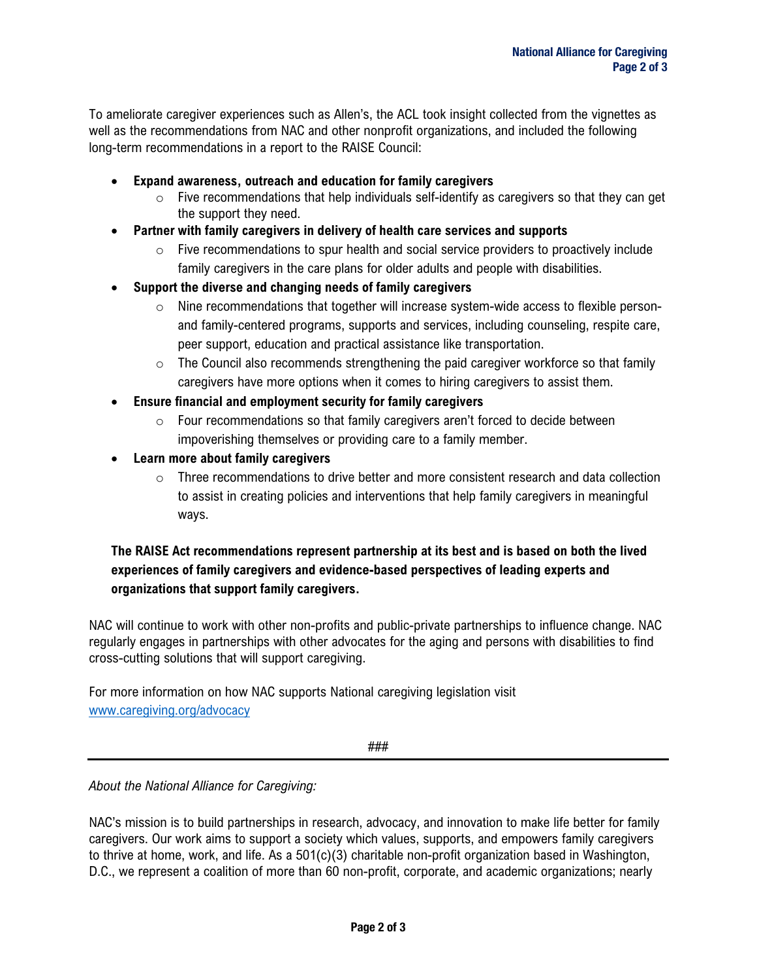To ameliorate caregiver experiences such as Allen's, the ACL took insight collected from the vignettes as well as the recommendations from NAC and other nonprofit organizations, and included the following long-term recommendations in a report to the RAISE Council:

- **Expand awareness, outreach and education for family caregivers**
	- $\circ$  Five recommendations that help individuals self-identify as caregivers so that they can get the support they need.
- **Partner with family caregivers in delivery of health care services and supports**
	- $\circ$  Five recommendations to spur health and social service providers to proactively include family caregivers in the care plans for older adults and people with disabilities.
- **Support the diverse and changing needs of family caregivers** 
	- $\circ$  Nine recommendations that together will increase system-wide access to flexible personand family-centered programs, supports and services, including counseling, respite care, peer support, education and practical assistance like transportation.
	- $\circ$  The Council also recommends strengthening the paid caregiver workforce so that family caregivers have more options when it comes to hiring caregivers to assist them.
- **Ensure financial and employment security for family caregivers** 
	- o Four recommendations so that family caregivers aren't forced to decide between impoverishing themselves or providing care to a family member.
- **Learn more about family caregivers** 
	- $\circ$  Three recommendations to drive better and more consistent research and data collection to assist in creating policies and interventions that help family caregivers in meaningful ways.

## **The RAISE Act recommendations represent partnership at its best and is based on both the lived experiences of family caregivers and evidence-based perspectives of leading experts and organizations that support family caregivers.**

NAC will continue to work with other non-profits and public-private partnerships to influence change. NAC regularly engages in partnerships with other advocates for the aging and persons with disabilities to find cross-cutting solutions that will support caregiving.

For more information on how NAC supports National caregiving legislation visit www.caregiving.org/advocacy

###

*About the National Alliance for Caregiving:* 

NAC's mission is to build partnerships in research, advocacy, and innovation to make life better for family caregivers. Our work aims to support a society which values, supports, and empowers family caregivers to thrive at home, work, and life. As a 501(c)(3) charitable non-profit organization based in Washington, D.C., we represent a coalition of more than 60 non-profit, corporate, and academic organizations; nearly